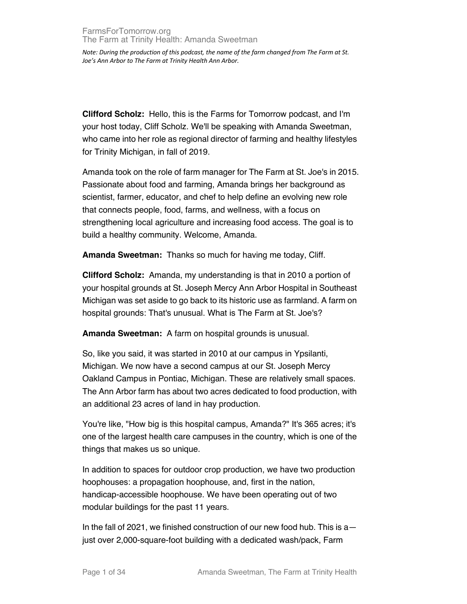**Clifford Scholz:** Hello, this is the Farms for Tomorrow podcast, and I'm your host today, Cliff Scholz. We'll be speaking with Amanda Sweetman, who came into her role as regional director of farming and healthy lifestyles for Trinity Michigan, in fall of 2019.

Amanda took on the role of farm manager for The Farm at St. Joe's in 2015. Passionate about food and farming, Amanda brings her background as scientist, farmer, educator, and chef to help define an evolving new role that connects people, food, farms, and wellness, with a focus on strengthening local agriculture and increasing food access. The goal is to build a healthy community. Welcome, Amanda.

**Amanda Sweetman:** Thanks so much for having me today, Cliff.

**Clifford Scholz:** Amanda, my understanding is that in 2010 a portion of your hospital grounds at St. Joseph Mercy Ann Arbor Hospital in Southeast Michigan was set aside to go back to its historic use as farmland. A farm on hospital grounds: That's unusual. What is The Farm at St. Joe's?

**Amanda Sweetman:** A farm on hospital grounds is unusual.

So, like you said, it was started in 2010 at our campus in Ypsilanti, Michigan. We now have a second campus at our St. Joseph Mercy Oakland Campus in Pontiac, Michigan. These are relatively small spaces. The Ann Arbor farm has about two acres dedicated to food production, with an additional 23 acres of land in hay production.

You're like, "How big is this hospital campus, Amanda?" It's 365 acres; it's one of the largest health care campuses in the country, which is one of the things that makes us so unique.

In addition to spaces for outdoor crop production, we have two production hoophouses: a propagation hoophouse, and, first in the nation, handicap-accessible hoophouse. We have been operating out of two modular buildings for the past 11 years.

In the fall of 2021, we finished construction of our new food hub. This is a just over 2,000-square-foot building with a dedicated wash/pack, Farm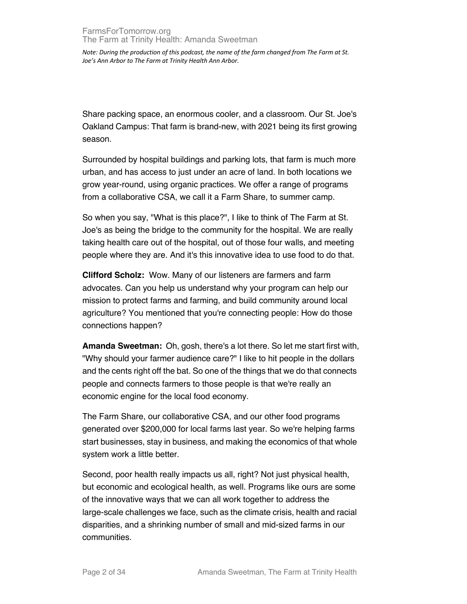Share packing space, an enormous cooler, and a classroom. Our St. Joe's Oakland Campus: That farm is brand-new, with 2021 being its first growing season.

Surrounded by hospital buildings and parking lots, that farm is much more urban, and has access to just under an acre of land. In both locations we grow year-round, using organic practices. We offer a range of programs from a collaborative CSA, we call it a Farm Share, to summer camp.

So when you say, "What is this place?", I like to think of The Farm at St. Joe's as being the bridge to the community for the hospital. We are really taking health care out of the hospital, out of those four walls, and meeting people where they are. And it's this innovative idea to use food to do that.

**Clifford Scholz:** Wow. Many of our listeners are farmers and farm advocates. Can you help us understand why your program can help our mission to protect farms and farming, and build community around local agriculture? You mentioned that you're connecting people: How do those connections happen?

**Amanda Sweetman:** Oh, gosh, there's a lot there. So let me start first with, "Why should your farmer audience care?" I like to hit people in the dollars and the cents right off the bat. So one of the things that we do that connects people and connects farmers to those people is that we're really an economic engine for the local food economy.

The Farm Share, our collaborative CSA, and our other food programs generated over \$200,000 for local farms last year. So we're helping farms start businesses, stay in business, and making the economics of that whole system work a little better.

Second, poor health really impacts us all, right? Not just physical health, but economic and ecological health, as well. Programs like ours are some of the innovative ways that we can all work together to address the large-scale challenges we face, such as the climate crisis, health and racial disparities, and a shrinking number of small and mid-sized farms in our communities.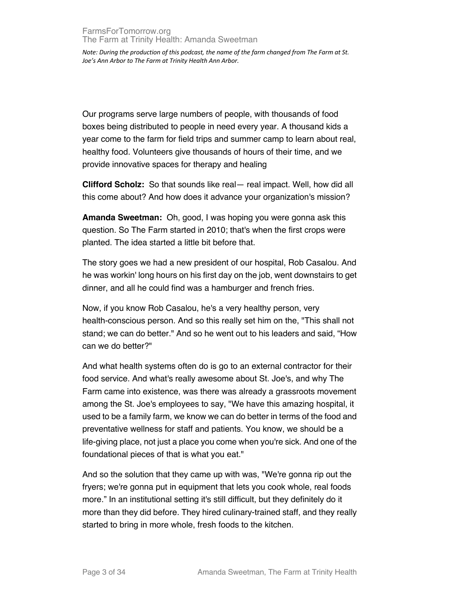Our programs serve large numbers of people, with thousands of food boxes being distributed to people in need every year. A thousand kids a year come to the farm for field trips and summer camp to learn about real, healthy food. Volunteers give thousands of hours of their time, and we provide innovative spaces for therapy and healing

**Clifford Scholz:** So that sounds like real— real impact. Well, how did all this come about? And how does it advance your organization's mission?

**Amanda Sweetman:** Oh, good, I was hoping you were gonna ask this question. So The Farm started in 2010; that's when the first crops were planted. The idea started a little bit before that.

The story goes we had a new president of our hospital, Rob Casalou. And he was workin' long hours on his first day on the job, went downstairs to get dinner, and all he could find was a hamburger and french fries.

Now, if you know Rob Casalou, he's a very healthy person, very health-conscious person. And so this really set him on the, "This shall not stand; we can do better." And so he went out to his leaders and said, "How can we do better?"

And what health systems often do is go to an external contractor for their food service. And what's really awesome about St. Joe's, and why The Farm came into existence, was there was already a grassroots movement among the St. Joe's employees to say, "We have this amazing hospital, it used to be a family farm, we know we can do better in terms of the food and preventative wellness for staff and patients. You know, we should be a life-giving place, not just a place you come when you're sick. And one of the foundational pieces of that is what you eat."

And so the solution that they came up with was, "We're gonna rip out the fryers; we're gonna put in equipment that lets you cook whole, real foods more." In an institutional setting it's still difficult, but they definitely do it more than they did before. They hired culinary-trained staff, and they really started to bring in more whole, fresh foods to the kitchen.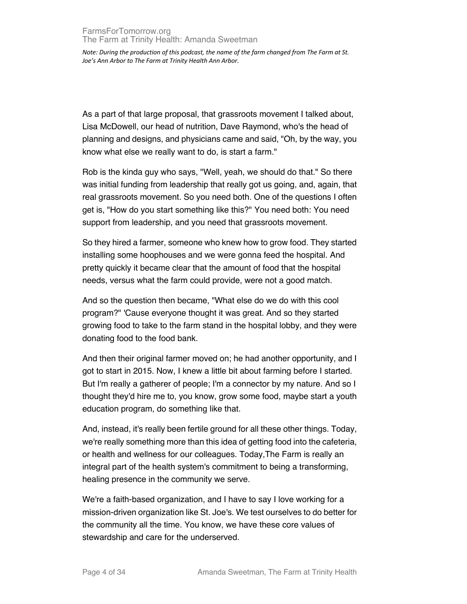As a part of that large proposal, that grassroots movement I talked about, Lisa McDowell, our head of nutrition, Dave Raymond, who's the head of planning and designs, and physicians came and said, "Oh, by the way, you know what else we really want to do, is start a farm."

Rob is the kinda guy who says, "Well, yeah, we should do that." So there was initial funding from leadership that really got us going, and, again, that real grassroots movement. So you need both. One of the questions I often get is, "How do you start something like this?" You need both: You need support from leadership, and you need that grassroots movement.

So they hired a farmer, someone who knew how to grow food. They started installing some hoophouses and we were gonna feed the hospital. And pretty quickly it became clear that the amount of food that the hospital needs, versus what the farm could provide, were not a good match.

And so the question then became, "What else do we do with this cool program?" 'Cause everyone thought it was great. And so they started growing food to take to the farm stand in the hospital lobby, and they were donating food to the food bank.

And then their original farmer moved on; he had another opportunity, and I got to start in 2015. Now, I knew a little bit about farming before I started. But I'm really a gatherer of people; I'm a connector by my nature. And so I thought they'd hire me to, you know, grow some food, maybe start a youth education program, do something like that.

And, instead, it's really been fertile ground for all these other things. Today, we're really something more than this idea of getting food into the cafeteria, or health and wellness for our colleagues. Today,The Farm is really an integral part of the health system's commitment to being a transforming, healing presence in the community we serve.

We're a faith-based organization, and I have to say I love working for a mission-driven organization like St. Joe's. We test ourselves to do better for the community all the time. You know, we have these core values of stewardship and care for the underserved.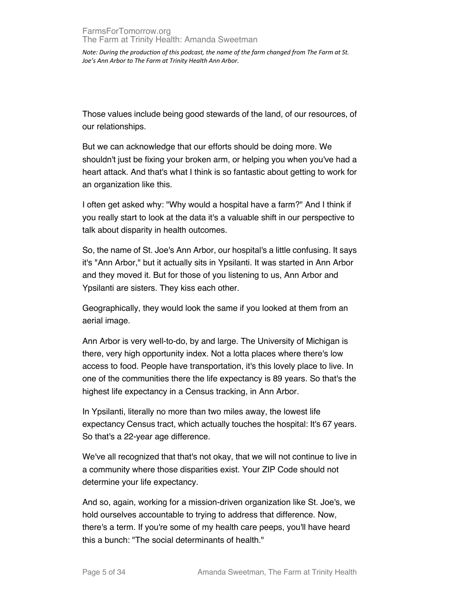Those values include being good stewards of the land, of our resources, of our relationships.

But we can acknowledge that our efforts should be doing more. We shouldn't just be fixing your broken arm, or helping you when you've had a heart attack. And that's what I think is so fantastic about getting to work for an organization like this.

I often get asked why: "Why would a hospital have a farm?" And I think if you really start to look at the data it's a valuable shift in our perspective to talk about disparity in health outcomes.

So, the name of St. Joe's Ann Arbor, our hospital's a little confusing. It says it's "Ann Arbor," but it actually sits in Ypsilanti. It was started in Ann Arbor and they moved it. But for those of you listening to us, Ann Arbor and Ypsilanti are sisters. They kiss each other.

Geographically, they would look the same if you looked at them from an aerial image.

Ann Arbor is very well-to-do, by and large. The University of Michigan is there, very high opportunity index. Not a lotta places where there's low access to food. People have transportation, it's this lovely place to live. In one of the communities there the life expectancy is 89 years. So that's the highest life expectancy in a Census tracking, in Ann Arbor.

In Ypsilanti, literally no more than two miles away, the lowest life expectancy Census tract, which actually touches the hospital: It's 67 years. So that's a 22-year age difference.

We've all recognized that that's not okay, that we will not continue to live in a community where those disparities exist. Your ZIP Code should not determine your life expectancy.

And so, again, working for a mission-driven organization like St. Joe's, we hold ourselves accountable to trying to address that difference. Now, there's a term. If you're some of my health care peeps, you'll have heard this a bunch: "The social determinants of health."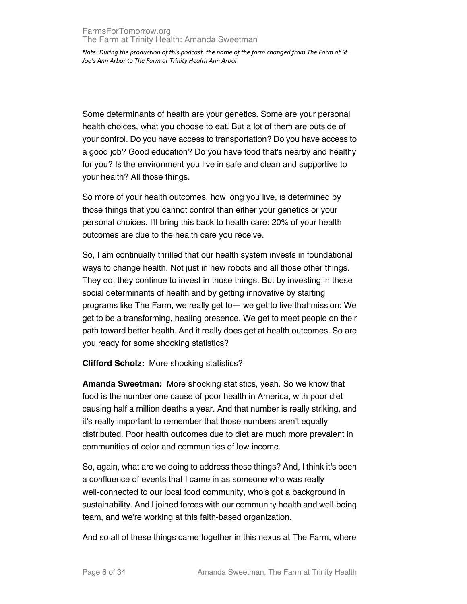Some determinants of health are your genetics. Some are your personal health choices, what you choose to eat. But a lot of them are outside of your control. Do you have access to transportation? Do you have access to a good job? Good education? Do you have food that's nearby and healthy for you? Is the environment you live in safe and clean and supportive to your health? All those things.

So more of your health outcomes, how long you live, is determined by those things that you cannot control than either your genetics or your personal choices. I'll bring this back to health care: 20% of your health outcomes are due to the health care you receive.

So, I am continually thrilled that our health system invests in foundational ways to change health. Not just in new robots and all those other things. They do; they continue to invest in those things. But by investing in these social determinants of health and by getting innovative by starting programs like The Farm, we really get to— we get to live that mission: We get to be a transforming, healing presence. We get to meet people on their path toward better health. And it really does get at health outcomes. So are you ready for some shocking statistics?

**Clifford Scholz:** More shocking statistics?

**Amanda Sweetman:** More shocking statistics, yeah. So we know that food is the number one cause of poor health in America, with poor diet causing half a million deaths a year. And that number is really striking, and it's really important to remember that those numbers aren't equally distributed. Poor health outcomes due to diet are much more prevalent in communities of color and communities of low income.

So, again, what are we doing to address those things? And, I think it's been a confluence of events that I came in as someone who was really well-connected to our local food community, who's got a background in sustainability. And I joined forces with our community health and well-being team, and we're working at this faith-based organization.

And so all of these things came together in this nexus at The Farm, where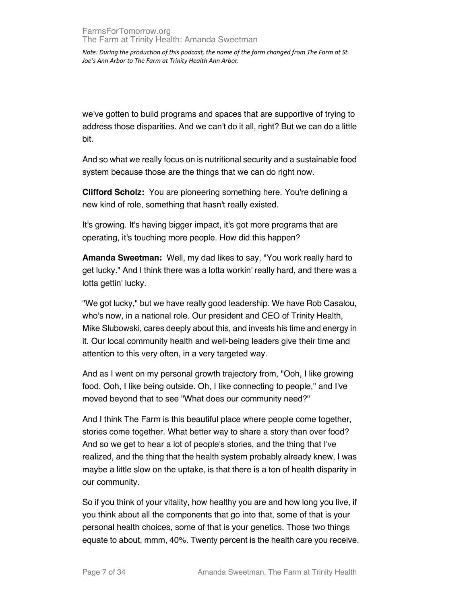we've gotten to build programs and spaces that are supportive of trying to address those disparities. And we can't do it all, right? But we can do a little bit.

And so what we really focus on is nutritional security and a sustainable food system because those are the things that we can do right now.

**Clifford Scholz:** You are pioneering something here. You're defining a new kind of role, something that hasn't really existed.

It's growing. It's having bigger impact, it's got more programs that are operating, it's touching more people. How did this happen?

**Amanda Sweetman:** Well, my dad likes to say, "You work really hard to get lucky." And I think there was a lotta workin' really hard, and there was a lotta gettin' lucky.

"We got lucky," but we have really good leadership. We have Rob Casalou, who's now, in a national role. Our president and CEO of Trinity Health, Mike Slubowski, cares deeply about this, and invests his time and energy in it. Our local community health and well-being leaders give their time and attention to this very often, in a very targeted way.

And as I went on my personal growth trajectory from, "Ooh, I like growing food. Ooh, I like being outside. Oh, I like connecting to people," and I've moved beyond that to see "What does our community need?"

And I think The Farm is this beautiful place where people come together, stories come together. What better way to share a story than over food? And so we get to hear a lot of people's stories, and the thing that I've realized, and the thing that the health system probably already knew, I was maybe a little slow on the uptake, is that there is a ton of health disparity in our community.

So if you think of your vitality, how healthy you are and how long you live, if you think about all the components that go into that, some of that is your personal health choices, some of that is your genetics. Those two things equate to about, mmm, 40%. Twenty percent is the health care you receive.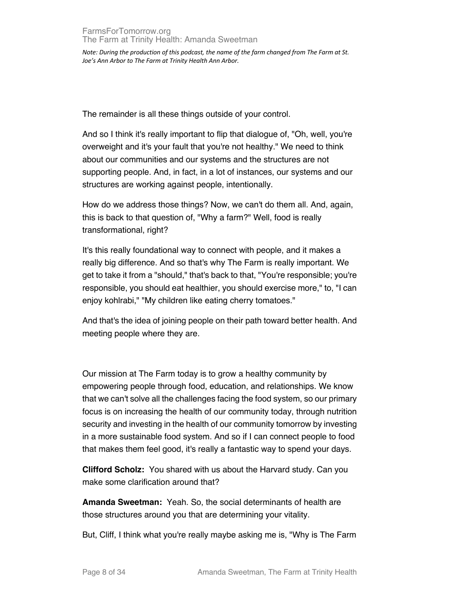The remainder is all these things outside of your control.

And so I think it's really important to flip that dialogue of, "Oh, well, you're overweight and it's your fault that you're not healthy." We need to think about our communities and our systems and the structures are not supporting people. And, in fact, in a lot of instances, our systems and our structures are working against people, intentionally.

How do we address those things? Now, we can't do them all. And, again, this is back to that question of, "Why a farm?" Well, food is really transformational, right?

It's this really foundational way to connect with people, and it makes a really big difference. And so that's why The Farm is really important. We get to take it from a "should," that's back to that, "You're responsible; you're responsible, you should eat healthier, you should exercise more," to, "I can enjoy kohlrabi," "My children like eating cherry tomatoes."

And that's the idea of joining people on their path toward better health. And meeting people where they are.

Our mission at The Farm today is to grow a healthy community by empowering people through food, education, and relationships. We know that we can't solve all the challenges facing the food system, so our primary focus is on increasing the health of our community today, through nutrition security and investing in the health of our community tomorrow by investing in a more sustainable food system. And so if I can connect people to food that makes them feel good, it's really a fantastic way to spend your days.

**Clifford Scholz:** You shared with us about the Harvard study. Can you make some clarification around that?

**Amanda Sweetman:** Yeah. So, the social determinants of health are those structures around you that are determining your vitality.

But, Cliff, I think what you're really maybe asking me is, "Why is The Farm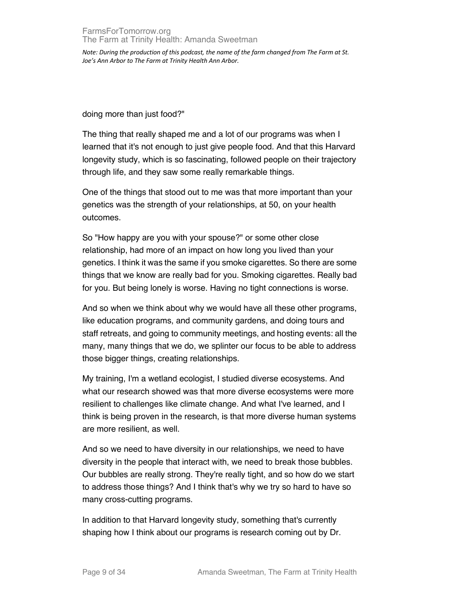doing more than just food?"

The thing that really shaped me and a lot of our programs was when I learned that it's not enough to just give people food. And that this Harvard longevity study, which is so fascinating, followed people on their trajectory through life, and they saw some really remarkable things.

One of the things that stood out to me was that more important than your genetics was the strength of your relationships, at 50, on your health outcomes.

So "How happy are you with your spouse?" or some other close relationship, had more of an impact on how long you lived than your genetics. I think it was the same if you smoke cigarettes. So there are some things that we know are really bad for you. Smoking cigarettes. Really bad for you. But being lonely is worse. Having no tight connections is worse.

And so when we think about why we would have all these other programs, like education programs, and community gardens, and doing tours and staff retreats, and going to community meetings, and hosting events: all the many, many things that we do, we splinter our focus to be able to address those bigger things, creating relationships.

My training, I'm a wetland ecologist, I studied diverse ecosystems. And what our research showed was that more diverse ecosystems were more resilient to challenges like climate change. And what I've learned, and I think is being proven in the research, is that more diverse human systems are more resilient, as well.

And so we need to have diversity in our relationships, we need to have diversity in the people that interact with, we need to break those bubbles. Our bubbles are really strong. They're really tight, and so how do we start to address those things? And I think that's why we try so hard to have so many cross-cutting programs.

In addition to that Harvard longevity study, something that's currently shaping how I think about our programs is research coming out by Dr.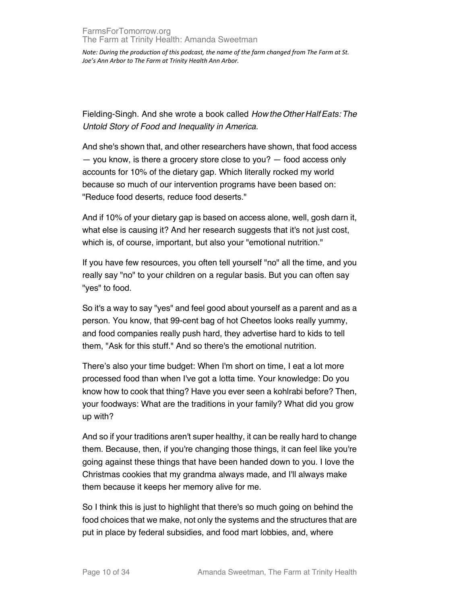Fielding-Singh. And she wrote a book called *How the Other Half Eats: The Untold Story of Food and Inequality in America.*

And she's shown that, and other researchers have shown, that food access — you know, is there a grocery store close to you? — food access only accounts for 10% of the dietary gap. Which literally rocked my world because so much of our intervention programs have been based on: "Reduce food deserts, reduce food deserts."

And if 10% of your dietary gap is based on access alone, well, gosh darn it, what else is causing it? And her research suggests that it's not just cost, which is, of course, important, but also your "emotional nutrition."

If you have few resources, you often tell yourself "no" all the time, and you really say "no" to your children on a regular basis. But you can often say "yes" to food.

So it's a way to say "yes" and feel good about yourself as a parent and as a person. You know, that 99-cent bag of hot Cheetos looks really yummy, and food companies really push hard, they advertise hard to kids to tell them, "Ask for this stuff." And so there's the emotional nutrition.

There's also your time budget: When I'm short on time, I eat a lot more processed food than when I've got a lotta time. Your knowledge: Do you know how to cook that thing? Have you ever seen a kohlrabi before? Then, your foodways: What are the traditions in your family? What did you grow up with?

And so if your traditions aren't super healthy, it can be really hard to change them. Because, then, if you're changing those things, it can feel like you're going against these things that have been handed down to you. I love the Christmas cookies that my grandma always made, and I'll always make them because it keeps her memory alive for me.

So I think this is just to highlight that there's so much going on behind the food choices that we make, not only the systems and the structures that are put in place by federal subsidies, and food mart lobbies, and, where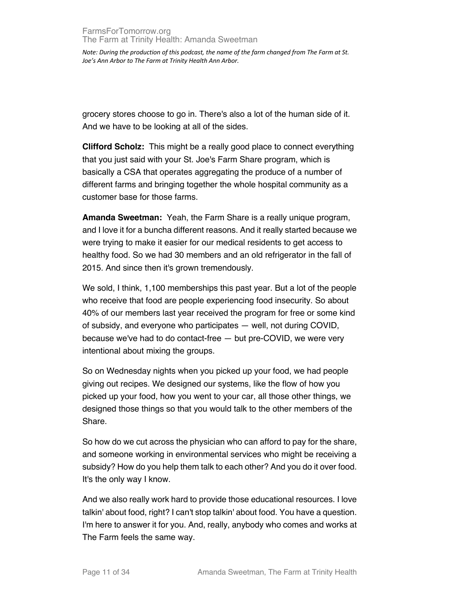grocery stores choose to go in. There's also a lot of the human side of it. And we have to be looking at all of the sides.

**Clifford Scholz:** This might be a really good place to connect everything that you just said with your St. Joe's Farm Share program, which is basically a CSA that operates aggregating the produce of a number of different farms and bringing together the whole hospital community as a customer base for those farms.

**Amanda Sweetman:** Yeah, the Farm Share is a really unique program, and I love it for a buncha different reasons. And it really started because we were trying to make it easier for our medical residents to get access to healthy food. So we had 30 members and an old refrigerator in the fall of 2015. And since then it's grown tremendously.

We sold, I think, 1,100 memberships this past year. But a lot of the people who receive that food are people experiencing food insecurity. So about 40% of our members last year received the program for free or some kind of subsidy, and everyone who participates — well, not during COVID, because we've had to do contact-free — but pre-COVID, we were very intentional about mixing the groups.

So on Wednesday nights when you picked up your food, we had people giving out recipes. We designed our systems, like the flow of how you picked up your food, how you went to your car, all those other things, we designed those things so that you would talk to the other members of the Share.

So how do we cut across the physician who can afford to pay for the share, and someone working in environmental services who might be receiving a subsidy? How do you help them talk to each other? And you do it over food. It's the only way I know.

And we also really work hard to provide those educational resources. I love talkin' about food, right? I can't stop talkin' about food. You have a question. I'm here to answer it for you. And, really, anybody who comes and works at The Farm feels the same way.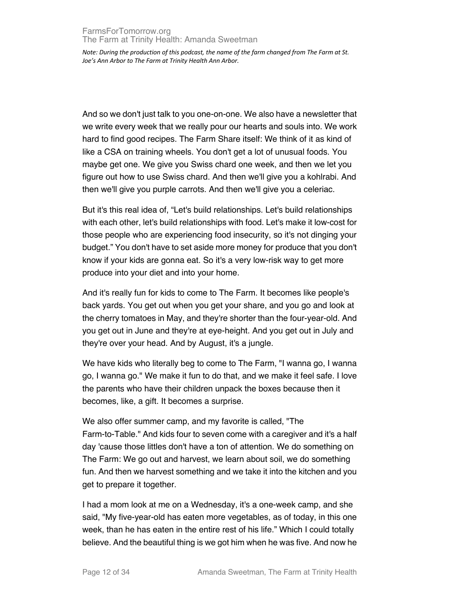And so we don't just talk to you one-on-one. We also have a newsletter that we write every week that we really pour our hearts and souls into. We work hard to find good recipes. The Farm Share itself: We think of it as kind of like a CSA on training wheels. You don't get a lot of unusual foods. You maybe get one. We give you Swiss chard one week, and then we let you figure out how to use Swiss chard. And then we'll give you a kohlrabi. And then we'll give you purple carrots. And then we'll give you a celeriac.

But it's this real idea of, "Let's build relationships. Let's build relationships with each other, let's build relationships with food. Let's make it low-cost for those people who are experiencing food insecurity, so it's not dinging your budget." You don't have to set aside more money for produce that you don't know if your kids are gonna eat. So it's a very low-risk way to get more produce into your diet and into your home.

And it's really fun for kids to come to The Farm. It becomes like people's back yards. You get out when you get your share, and you go and look at the cherry tomatoes in May, and they're shorter than the four-year-old. And you get out in June and they're at eye-height. And you get out in July and they're over your head. And by August, it's a jungle.

We have kids who literally beg to come to The Farm, "I wanna go, I wanna go, I wanna go." We make it fun to do that, and we make it feel safe. I love the parents who have their children unpack the boxes because then it becomes, like, a gift. It becomes a surprise.

We also offer summer camp, and my favorite is called, "The Farm-to-Table." And kids four to seven come with a caregiver and it's a half day 'cause those littles don't have a ton of attention. We do something on The Farm: We go out and harvest, we learn about soil, we do something fun. And then we harvest something and we take it into the kitchen and you get to prepare it together.

I had a mom look at me on a Wednesday, it's a one-week camp, and she said, "My five-year-old has eaten more vegetables, as of today, in this one week, than he has eaten in the entire rest of his life." Which I could totally believe. And the beautiful thing is we got him when he was five. And now he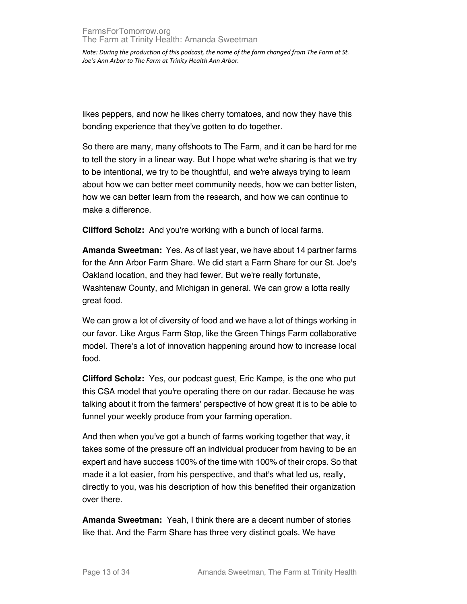likes peppers, and now he likes cherry tomatoes, and now they have this bonding experience that they've gotten to do together.

So there are many, many offshoots to The Farm, and it can be hard for me to tell the story in a linear way. But I hope what we're sharing is that we try to be intentional, we try to be thoughtful, and we're always trying to learn about how we can better meet community needs, how we can better listen, how we can better learn from the research, and how we can continue to make a difference.

**Clifford Scholz:** And you're working with a bunch of local farms.

**Amanda Sweetman:** Yes. As of last year, we have about 14 partner farms for the Ann Arbor Farm Share. We did start a Farm Share for our St. Joe's Oakland location, and they had fewer. But we're really fortunate, Washtenaw County, and Michigan in general. We can grow a lotta really great food.

We can grow a lot of diversity of food and we have a lot of things working in our favor. Like Argus Farm Stop, like the Green Things Farm collaborative model. There's a lot of innovation happening around how to increase local food.

**Clifford Scholz:** Yes, our podcast guest, Eric Kampe, is the one who put this CSA model that you're operating there on our radar. Because he was talking about it from the farmers' perspective of how great it is to be able to funnel your weekly produce from your farming operation.

And then when you've got a bunch of farms working together that way, it takes some of the pressure off an individual producer from having to be an expert and have success 100% of the time with 100% of their crops. So that made it a lot easier, from his perspective, and that's what led us, really, directly to you, was his description of how this benefited their organization over there.

**Amanda Sweetman:** Yeah, I think there are a decent number of stories like that. And the Farm Share has three very distinct goals. We have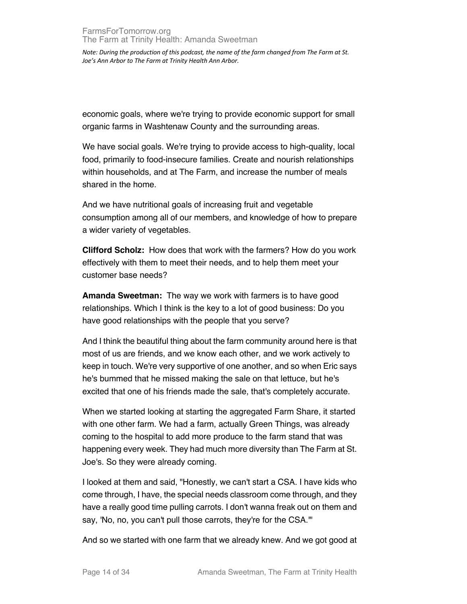economic goals, where we're trying to provide economic support for small organic farms in Washtenaw County and the surrounding areas.

We have social goals. We're trying to provide access to high-quality, local food, primarily to food-insecure families. Create and nourish relationships within households, and at The Farm, and increase the number of meals shared in the home.

And we have nutritional goals of increasing fruit and vegetable consumption among all of our members, and knowledge of how to prepare a wider variety of vegetables.

**Clifford Scholz:** How does that work with the farmers? How do you work effectively with them to meet their needs, and to help them meet your customer base needs?

**Amanda Sweetman:** The way we work with farmers is to have good relationships. Which I think is the key to a lot of good business: Do you have good relationships with the people that you serve?

And I think the beautiful thing about the farm community around here is that most of us are friends, and we know each other, and we work actively to keep in touch. We're very supportive of one another, and so when Eric says he's bummed that he missed making the sale on that lettuce, but he's excited that one of his friends made the sale, that's completely accurate.

When we started looking at starting the aggregated Farm Share, it started with one other farm. We had a farm, actually Green Things, was already coming to the hospital to add more produce to the farm stand that was happening every week. They had much more diversity than The Farm at St. Joe's. So they were already coming.

I looked at them and said, "Honestly, we can't start a CSA. I have kids who come through, I have, the special needs classroom come through, and they have a really good time pulling carrots. I don't wanna freak out on them and say, 'No, no, you can't pull those carrots, they're for the CSA.'"

And so we started with one farm that we already knew. And we got good at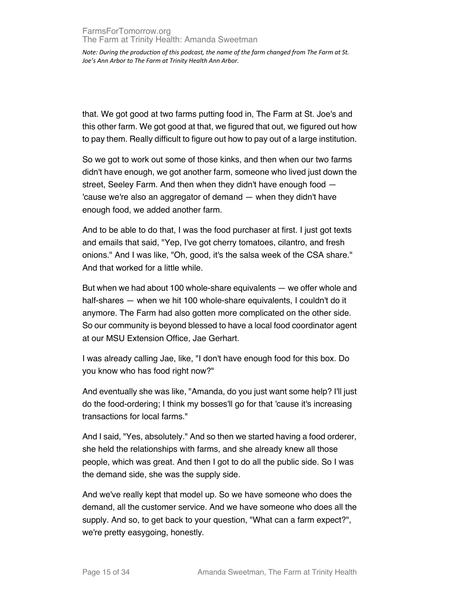that. We got good at two farms putting food in, The Farm at St. Joe's and this other farm. We got good at that, we figured that out, we figured out how to pay them. Really difficult to figure out how to pay out of a large institution.

So we got to work out some of those kinks, and then when our two farms didn't have enough, we got another farm, someone who lived just down the street, Seeley Farm. And then when they didn't have enough food — 'cause we're also an aggregator of demand — when they didn't have enough food, we added another farm.

And to be able to do that, I was the food purchaser at first. I just got texts and emails that said, "Yep, I've got cherry tomatoes, cilantro, and fresh onions." And I was like, "Oh, good, it's the salsa week of the CSA share." And that worked for a little while.

But when we had about 100 whole-share equivalents — we offer whole and half-shares — when we hit 100 whole-share equivalents, I couldn't do it anymore. The Farm had also gotten more complicated on the other side. So our community is beyond blessed to have a local food coordinator agent at our MSU Extension Office, Jae Gerhart.

I was already calling Jae, like, "I don't have enough food for this box. Do you know who has food right now?"

And eventually she was like, "Amanda, do you just want some help? I'll just do the food-ordering; I think my bosses'll go for that 'cause it's increasing transactions for local farms."

And I said, "Yes, absolutely." And so then we started having a food orderer, she held the relationships with farms, and she already knew all those people, which was great. And then I got to do all the public side. So I was the demand side, she was the supply side.

And we've really kept that model up. So we have someone who does the demand, all the customer service. And we have someone who does all the supply. And so, to get back to your question, "What can a farm expect?", we're pretty easygoing, honestly.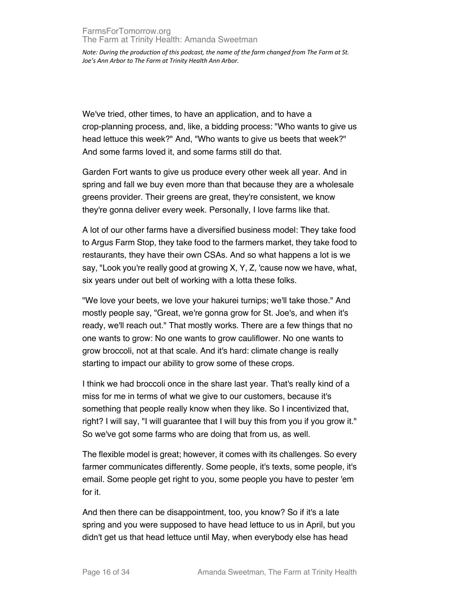We've tried, other times, to have an application, and to have a crop-planning process, and, like, a bidding process: "Who wants to give us head lettuce this week?" And, "Who wants to give us beets that week?" And some farms loved it, and some farms still do that.

Garden Fort wants to give us produce every other week all year. And in spring and fall we buy even more than that because they are a wholesale greens provider. Their greens are great, they're consistent, we know they're gonna deliver every week. Personally, I love farms like that.

A lot of our other farms have a diversified business model: They take food to Argus Farm Stop, they take food to the farmers market, they take food to restaurants, they have their own CSAs. And so what happens a lot is we say, "Look you're really good at growing X, Y, Z, 'cause now we have, what, six years under out belt of working with a lotta these folks.

"We love your beets, we love your hakurei turnips; we'll take those." And mostly people say, "Great, we're gonna grow for St. Joe's, and when it's ready, we'll reach out." That mostly works. There are a few things that no one wants to grow: No one wants to grow cauliflower. No one wants to grow broccoli, not at that scale. And it's hard: climate change is really starting to impact our ability to grow some of these crops.

I think we had broccoli once in the share last year. That's really kind of a miss for me in terms of what we give to our customers, because it's something that people really know when they like. So I incentivized that, right? I will say, "I will guarantee that I will buy this from you if you grow it." So we've got some farms who are doing that from us, as well.

The flexible model is great; however, it comes with its challenges. So every farmer communicates differently. Some people, it's texts, some people, it's email. Some people get right to you, some people you have to pester 'em for it.

And then there can be disappointment, too, you know? So if it's a late spring and you were supposed to have head lettuce to us in April, but you didn't get us that head lettuce until May, when everybody else has head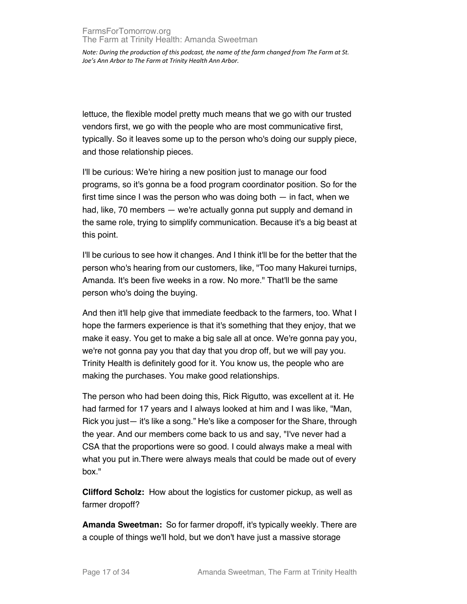lettuce, the flexible model pretty much means that we go with our trusted vendors first, we go with the people who are most communicative first, typically. So it leaves some up to the person who's doing our supply piece, and those relationship pieces.

I'll be curious: We're hiring a new position just to manage our food programs, so it's gonna be a food program coordinator position. So for the first time since I was the person who was doing both — in fact, when we had, like, 70 members — we're actually gonna put supply and demand in the same role, trying to simplify communication. Because it's a big beast at this point.

I'll be curious to see how it changes. And I think it'll be for the better that the person who's hearing from our customers, like, "Too many Hakurei turnips, Amanda. It's been five weeks in a row. No more." That'll be the same person who's doing the buying.

And then it'll help give that immediate feedback to the farmers, too. What I hope the farmers experience is that it's something that they enjoy, that we make it easy. You get to make a big sale all at once. We're gonna pay you, we're not gonna pay you that day that you drop off, but we will pay you. Trinity Health is definitely good for it. You know us, the people who are making the purchases. You make good relationships.

The person who had been doing this, Rick Rigutto, was excellent at it. He had farmed for 17 years and I always looked at him and I was like, "Man, Rick you just— it's like a song." He's like a composer for the Share, through the year. And our members come back to us and say, "I've never had a CSA that the proportions were so good. I could always make a meal with what you put in.There were always meals that could be made out of every box."

**Clifford Scholz:** How about the logistics for customer pickup, as well as farmer dropoff?

**Amanda Sweetman:** So for farmer dropoff, it's typically weekly. There are a couple of things we'll hold, but we don't have just a massive storage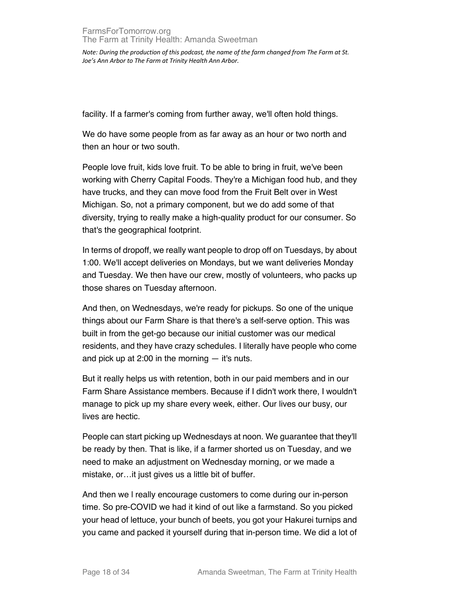facility. If a farmer's coming from further away, we'll often hold things.

We do have some people from as far away as an hour or two north and then an hour or two south.

People love fruit, kids love fruit. To be able to bring in fruit, we've been working with Cherry Capital Foods. They're a Michigan food hub, and they have trucks, and they can move food from the Fruit Belt over in West Michigan. So, not a primary component, but we do add some of that diversity, trying to really make a high-quality product for our consumer. So that's the geographical footprint.

In terms of dropoff, we really want people to drop off on Tuesdays, by about 1:00. We'll accept deliveries on Mondays, but we want deliveries Monday and Tuesday. We then have our crew, mostly of volunteers, who packs up those shares on Tuesday afternoon.

And then, on Wednesdays, we're ready for pickups. So one of the unique things about our Farm Share is that there's a self-serve option. This was built in from the get-go because our initial customer was our medical residents, and they have crazy schedules. I literally have people who come and pick up at  $2:00$  in the morning  $-$  it's nuts.

But it really helps us with retention, both in our paid members and in our Farm Share Assistance members. Because if I didn't work there, I wouldn't manage to pick up my share every week, either. Our lives our busy, our lives are hectic.

People can start picking up Wednesdays at noon. We guarantee that they'll be ready by then. That is like, if a farmer shorted us on Tuesday, and we need to make an adjustment on Wednesday morning, or we made a mistake, or…it just gives us a little bit of buffer.

And then we l really encourage customers to come during our in-person time. So pre-COVID we had it kind of out like a farmstand. So you picked your head of lettuce, your bunch of beets, you got your Hakurei turnips and you came and packed it yourself during that in-person time. We did a lot of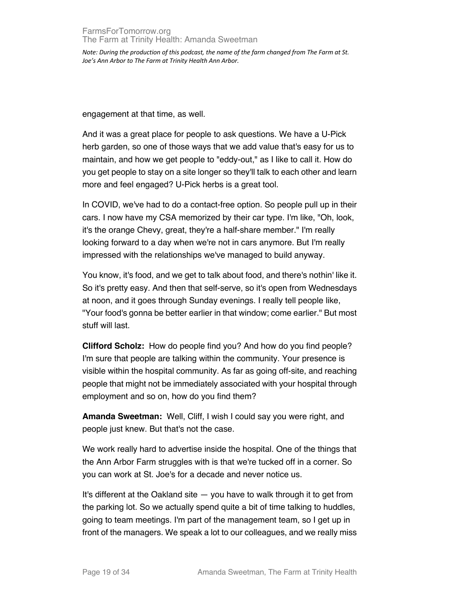engagement at that time, as well.

And it was a great place for people to ask questions. We have a U-Pick herb garden, so one of those ways that we add value that's easy for us to maintain, and how we get people to "eddy-out," as I like to call it. How do you get people to stay on a site longer so they'll talk to each other and learn more and feel engaged? U-Pick herbs is a great tool.

In COVID, we've had to do a contact-free option. So people pull up in their cars. I now have my CSA memorized by their car type. I'm like, "Oh, look, it's the orange Chevy, great, they're a half-share member." I'm really looking forward to a day when we're not in cars anymore. But I'm really impressed with the relationships we've managed to build anyway.

You know, it's food, and we get to talk about food, and there's nothin' like it. So it's pretty easy. And then that self-serve, so it's open from Wednesdays at noon, and it goes through Sunday evenings. I really tell people like, "Your food's gonna be better earlier in that window; come earlier." But most stuff will last.

**Clifford Scholz:** How do people find you? And how do you find people? I'm sure that people are talking within the community. Your presence is visible within the hospital community. As far as going off-site, and reaching people that might not be immediately associated with your hospital through employment and so on, how do you find them?

**Amanda Sweetman:** Well, Cliff, I wish I could say you were right, and people just knew. But that's not the case.

We work really hard to advertise inside the hospital. One of the things that the Ann Arbor Farm struggles with is that we're tucked off in a corner. So you can work at St. Joe's for a decade and never notice us.

It's different at the Oakland site — you have to walk through it to get from the parking lot. So we actually spend quite a bit of time talking to huddles, going to team meetings. I'm part of the management team, so I get up in front of the managers. We speak a lot to our colleagues, and we really miss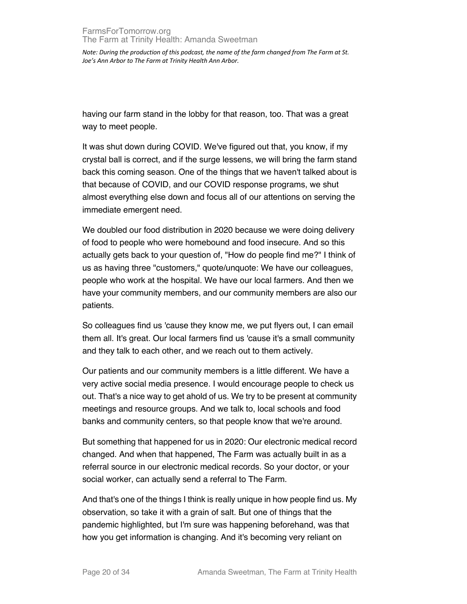having our farm stand in the lobby for that reason, too. That was a great way to meet people.

It was shut down during COVID. We've figured out that, you know, if my crystal ball is correct, and if the surge lessens, we will bring the farm stand back this coming season. One of the things that we haven't talked about is that because of COVID, and our COVID response programs, we shut almost everything else down and focus all of our attentions on serving the immediate emergent need.

We doubled our food distribution in 2020 because we were doing delivery of food to people who were homebound and food insecure. And so this actually gets back to your question of, "How do people find me?" I think of us as having three "customers," quote/unquote: We have our colleagues, people who work at the hospital. We have our local farmers. And then we have your community members, and our community members are also our patients.

So colleagues find us 'cause they know me, we put flyers out, I can email them all. It's great. Our local farmers find us 'cause it's a small community and they talk to each other, and we reach out to them actively.

Our patients and our community members is a little different. We have a very active social media presence. I would encourage people to check us out. That's a nice way to get ahold of us. We try to be present at community meetings and resource groups. And we talk to, local schools and food banks and community centers, so that people know that we're around.

But something that happened for us in 2020: Our electronic medical record changed. And when that happened, The Farm was actually built in as a referral source in our electronic medical records. So your doctor, or your social worker, can actually send a referral to The Farm.

And that's one of the things I think is really unique in how people find us. My observation, so take it with a grain of salt. But one of things that the pandemic highlighted, but I'm sure was happening beforehand, was that how you get information is changing. And it's becoming very reliant on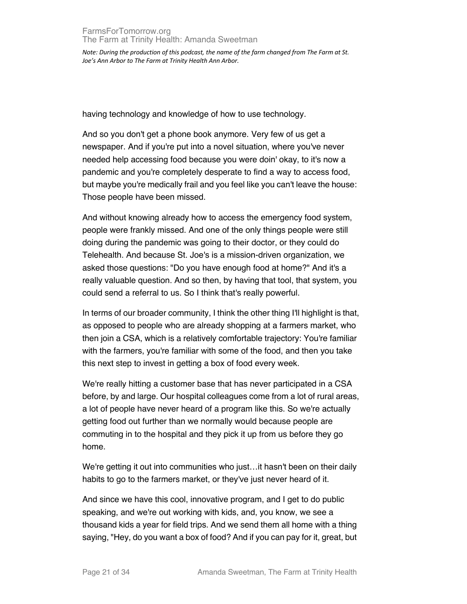having technology and knowledge of how to use technology.

And so you don't get a phone book anymore. Very few of us get a newspaper. And if you're put into a novel situation, where you've never needed help accessing food because you were doin' okay, to it's now a pandemic and you're completely desperate to find a way to access food, but maybe you're medically frail and you feel like you can't leave the house: Those people have been missed.

And without knowing already how to access the emergency food system, people were frankly missed. And one of the only things people were still doing during the pandemic was going to their doctor, or they could do Telehealth. And because St. Joe's is a mission-driven organization, we asked those questions: "Do you have enough food at home?" And it's a really valuable question. And so then, by having that tool, that system, you could send a referral to us. So I think that's really powerful.

In terms of our broader community, I think the other thing I'll highlight is that, as opposed to people who are already shopping at a farmers market, who then join a CSA, which is a relatively comfortable trajectory: You're familiar with the farmers, you're familiar with some of the food, and then you take this next step to invest in getting a box of food every week.

We're really hitting a customer base that has never participated in a CSA before, by and large. Our hospital colleagues come from a lot of rural areas, a lot of people have never heard of a program like this. So we're actually getting food out further than we normally would because people are commuting in to the hospital and they pick it up from us before they go home.

We're getting it out into communities who just...it hasn't been on their daily habits to go to the farmers market, or they've just never heard of it.

And since we have this cool, innovative program, and I get to do public speaking, and we're out working with kids, and, you know, we see a thousand kids a year for field trips. And we send them all home with a thing saying, "Hey, do you want a box of food? And if you can pay for it, great, but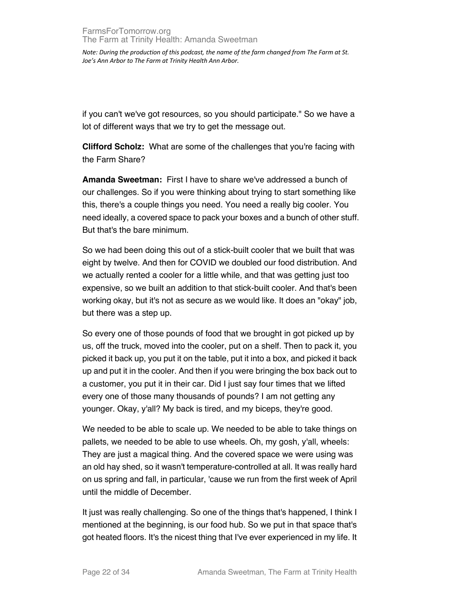if you can't we've got resources, so you should participate." So we have a lot of different ways that we try to get the message out.

**Clifford Scholz:** What are some of the challenges that you're facing with the Farm Share?

**Amanda Sweetman:** First I have to share we've addressed a bunch of our challenges. So if you were thinking about trying to start something like this, there's a couple things you need. You need a really big cooler. You need ideally, a covered space to pack your boxes and a bunch of other stuff. But that's the bare minimum.

So we had been doing this out of a stick-built cooler that we built that was eight by twelve. And then for COVID we doubled our food distribution. And we actually rented a cooler for a little while, and that was getting just too expensive, so we built an addition to that stick-built cooler. And that's been working okay, but it's not as secure as we would like. It does an "okay" job, but there was a step up.

So every one of those pounds of food that we brought in got picked up by us, off the truck, moved into the cooler, put on a shelf. Then to pack it, you picked it back up, you put it on the table, put it into a box, and picked it back up and put it in the cooler. And then if you were bringing the box back out to a customer, you put it in their car. Did I just say four times that we lifted every one of those many thousands of pounds? I am not getting any younger. Okay, y'all? My back is tired, and my biceps, they're good.

We needed to be able to scale up. We needed to be able to take things on pallets, we needed to be able to use wheels. Oh, my gosh, y'all, wheels: They are just a magical thing. And the covered space we were using was an old hay shed, so it wasn't temperature-controlled at all. It was really hard on us spring and fall, in particular, 'cause we run from the first week of April until the middle of December.

It just was really challenging. So one of the things that's happened, I think I mentioned at the beginning, is our food hub. So we put in that space that's got heated floors. It's the nicest thing that I've ever experienced in my life. It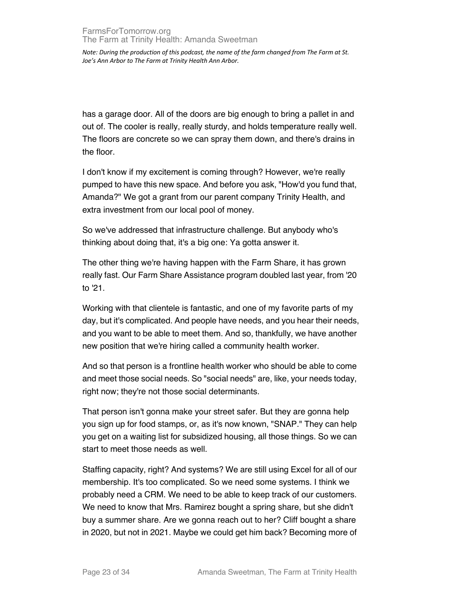has a garage door. All of the doors are big enough to bring a pallet in and out of. The cooler is really, really sturdy, and holds temperature really well. The floors are concrete so we can spray them down, and there's drains in the floor.

I don't know if my excitement is coming through? However, we're really pumped to have this new space. And before you ask, "How'd you fund that, Amanda?" We got a grant from our parent company Trinity Health, and extra investment from our local pool of money.

So we've addressed that infrastructure challenge. But anybody who's thinking about doing that, it's a big one: Ya gotta answer it.

The other thing we're having happen with the Farm Share, it has grown really fast. Our Farm Share Assistance program doubled last year, from '20 to '21.

Working with that clientele is fantastic, and one of my favorite parts of my day, but it's complicated. And people have needs, and you hear their needs, and you want to be able to meet them. And so, thankfully, we have another new position that we're hiring called a community health worker.

And so that person is a frontline health worker who should be able to come and meet those social needs. So "social needs" are, like, your needs today, right now; they're not those social determinants.

That person isn't gonna make your street safer. But they are gonna help you sign up for food stamps, or, as it's now known, "SNAP." They can help you get on a waiting list for subsidized housing, all those things. So we can start to meet those needs as well.

Staffing capacity, right? And systems? We are still using Excel for all of our membership. It's too complicated. So we need some systems. I think we probably need a CRM. We need to be able to keep track of our customers. We need to know that Mrs. Ramirez bought a spring share, but she didn't buy a summer share. Are we gonna reach out to her? Cliff bought a share in 2020, but not in 2021. Maybe we could get him back? Becoming more of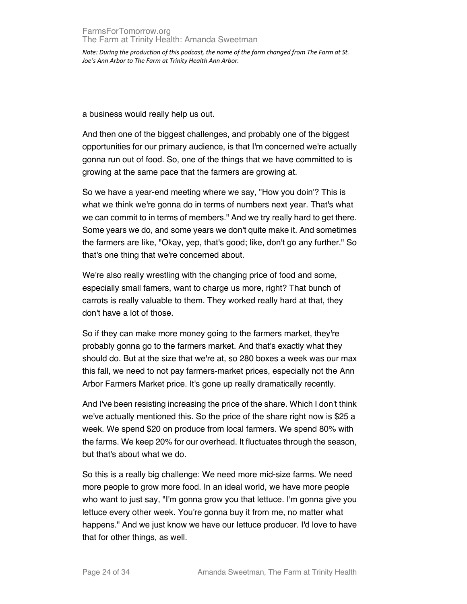## FarmsForTomorrow.org The Farm at Trinity Health: Amanda Sweetman

*Note: During the production of this podcast, the name of the farm changed from The Farm at St. Joe's Ann Arbor to The Farm at Trinity Health Ann Arbor.*

a business would really help us out.

And then one of the biggest challenges, and probably one of the biggest opportunities for our primary audience, is that I'm concerned we're actually gonna run out of food. So, one of the things that we have committed to is growing at the same pace that the farmers are growing at.

So we have a year-end meeting where we say, "How you doin'? This is what we think we're gonna do in terms of numbers next year. That's what we can commit to in terms of members." And we try really hard to get there. Some years we do, and some years we don't quite make it. And sometimes the farmers are like, "Okay, yep, that's good; like, don't go any further." So that's one thing that we're concerned about.

We're also really wrestling with the changing price of food and some, especially small famers, want to charge us more, right? That bunch of carrots is really valuable to them. They worked really hard at that, they don't have a lot of those.

So if they can make more money going to the farmers market, they're probably gonna go to the farmers market. And that's exactly what they should do. But at the size that we're at, so 280 boxes a week was our max this fall, we need to not pay farmers-market prices, especially not the Ann Arbor Farmers Market price. It's gone up really dramatically recently.

And I've been resisting increasing the price of the share. Which I don't think we've actually mentioned this. So the price of the share right now is \$25 a week. We spend \$20 on produce from local farmers. We spend 80% with the farms. We keep 20% for our overhead. It fluctuates through the season, but that's about what we do.

So this is a really big challenge: We need more mid-size farms. We need more people to grow more food. In an ideal world, we have more people who want to just say, "I'm gonna grow you that lettuce. I'm gonna give you lettuce every other week. You're gonna buy it from me, no matter what happens." And we just know we have our lettuce producer. I'd love to have that for other things, as well.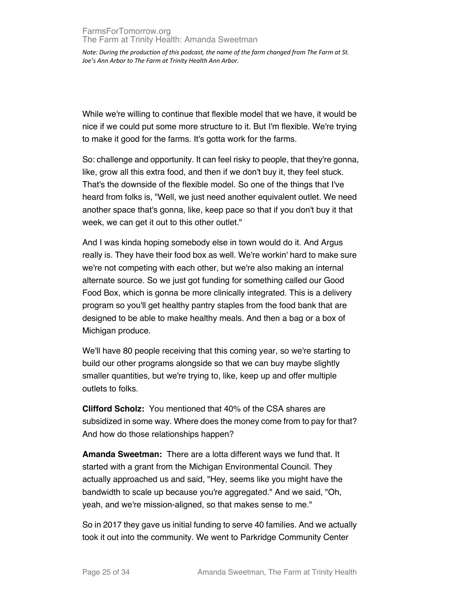While we're willing to continue that flexible model that we have, it would be nice if we could put some more structure to it. But I'm flexible. We're trying to make it good for the farms. It's gotta work for the farms.

So: challenge and opportunity. It can feel risky to people, that they're gonna, like, grow all this extra food, and then if we don't buy it, they feel stuck. That's the downside of the flexible model. So one of the things that I've heard from folks is, "Well, we just need another equivalent outlet. We need another space that's gonna, like, keep pace so that if you don't buy it that week, we can get it out to this other outlet."

And I was kinda hoping somebody else in town would do it. And Argus really is. They have their food box as well. We're workin' hard to make sure we're not competing with each other, but we're also making an internal alternate source. So we just got funding for something called our Good Food Box, which is gonna be more clinically integrated. This is a delivery program so you'll get healthy pantry staples from the food bank that are designed to be able to make healthy meals. And then a bag or a box of Michigan produce.

We'll have 80 people receiving that this coming year, so we're starting to build our other programs alongside so that we can buy maybe slightly smaller quantities, but we're trying to, like, keep up and offer multiple outlets to folks.

**Clifford Scholz:** You mentioned that 40% of the CSA shares are subsidized in some way. Where does the money come from to pay for that? And how do those relationships happen?

**Amanda Sweetman:** There are a lotta different ways we fund that. It started with a grant from the Michigan Environmental Council. They actually approached us and said, "Hey, seems like you might have the bandwidth to scale up because you're aggregated." And we said, "Oh, yeah, and we're mission-aligned, so that makes sense to me."

So in 2017 they gave us initial funding to serve 40 families. And we actually took it out into the community. We went to Parkridge Community Center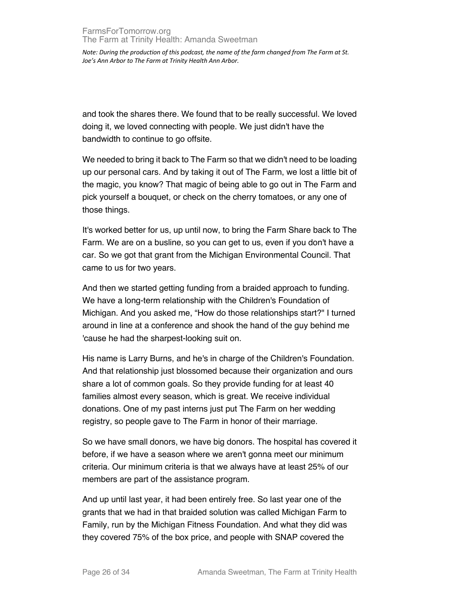and took the shares there. We found that to be really successful. We loved doing it, we loved connecting with people. We just didn't have the bandwidth to continue to go offsite.

We needed to bring it back to The Farm so that we didn't need to be loading up our personal cars. And by taking it out of The Farm, we lost a little bit of the magic, you know? That magic of being able to go out in The Farm and pick yourself a bouquet, or check on the cherry tomatoes, or any one of those things.

It's worked better for us, up until now, to bring the Farm Share back to The Farm. We are on a busline, so you can get to us, even if you don't have a car. So we got that grant from the Michigan Environmental Council. That came to us for two years.

And then we started getting funding from a braided approach to funding. We have a long-term relationship with the Children's Foundation of Michigan. And you asked me, "How do those relationships start?" I turned around in line at a conference and shook the hand of the guy behind me 'cause he had the sharpest-looking suit on.

His name is Larry Burns, and he's in charge of the Children's Foundation. And that relationship just blossomed because their organization and ours share a lot of common goals. So they provide funding for at least 40 families almost every season, which is great. We receive individual donations. One of my past interns just put The Farm on her wedding registry, so people gave to The Farm in honor of their marriage.

So we have small donors, we have big donors. The hospital has covered it before, if we have a season where we aren't gonna meet our minimum criteria. Our minimum criteria is that we always have at least 25% of our members are part of the assistance program.

And up until last year, it had been entirely free. So last year one of the grants that we had in that braided solution was called Michigan Farm to Family, run by the Michigan Fitness Foundation. And what they did was they covered 75% of the box price, and people with SNAP covered the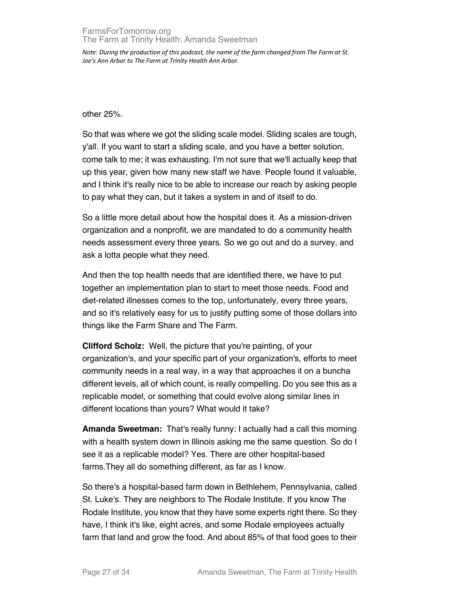## FarmsForTomorrow.org The Farm at Trinity Health: Amanda Sweetman

*Note: During the production of this podcast, the name of the farm changed from The Farm at St. Joe's Ann Arbor to The Farm at Trinity Health Ann Arbor.*

other 25%.

So that was where we got the sliding scale model. Sliding scales are tough, y'all. If you want to start a sliding scale, and you have a better solution, come talk to me; it was exhausting. I'm not sure that we'll actually keep that up this year, given how many new staff we have. People found it valuable, and I think it's really nice to be able to increase our reach by asking people to pay what they can, but it takes a system in and of itself to do.

So a little more detail about how the hospital does it. As a mission-driven organization and a nonprofit, we are mandated to do a community health needs assessment every three years. So we go out and do a survey, and ask a lotta people what they need.

And then the top health needs that are identified there, we have to put together an implementation plan to start to meet those needs. Food and diet-related illnesses comes to the top, unfortunately, every three years, and so it's relatively easy for us to justify putting some of those dollars into things like the Farm Share and The Farm.

**Clifford Scholz:** Well, the picture that you're painting, of your organization's, and your specific part of your organization's, efforts to meet community needs in a real way, in a way that approaches it on a buncha different levels, all of which count, is really compelling. Do you see this as a replicable model, or something that could evolve along similar lines in different locations than yours? What would it take?

**Amanda Sweetman:** That's really funny: I actually had a call this morning with a health system down in Illinois asking me the same question. So do I see it as a replicable model? Yes. There are other hospital-based farms.They all do something different, as far as I know.

So there's a hospital-based farm down in Bethlehem, Pennsylvania, called St. Luke's. They are neighbors to The Rodale Institute. If you know The Rodale Institute, you know that they have some experts right there. So they have, I think it's like, eight acres, and some Rodale employees actually farm that land and grow the food. And about 85% of that food goes to their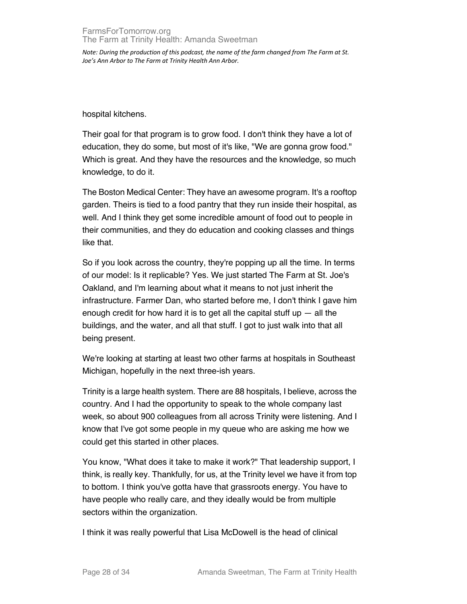hospital kitchens.

Their goal for that program is to grow food. I don't think they have a lot of education, they do some, but most of it's like, "We are gonna grow food." Which is great. And they have the resources and the knowledge, so much knowledge, to do it.

The Boston Medical Center: They have an awesome program. It's a rooftop garden. Theirs is tied to a food pantry that they run inside their hospital, as well. And I think they get some incredible amount of food out to people in their communities, and they do education and cooking classes and things like that.

So if you look across the country, they're popping up all the time. In terms of our model: Is it replicable? Yes. We just started The Farm at St. Joe's Oakland, and I'm learning about what it means to not just inherit the infrastructure. Farmer Dan, who started before me, I don't think I gave him enough credit for how hard it is to get all the capital stuff up  $-$  all the buildings, and the water, and all that stuff. I got to just walk into that all being present.

We're looking at starting at least two other farms at hospitals in Southeast Michigan, hopefully in the next three-ish years.

Trinity is a large health system. There are 88 hospitals, I believe, across the country. And I had the opportunity to speak to the whole company last week, so about 900 colleagues from all across Trinity were listening. And I know that I've got some people in my queue who are asking me how we could get this started in other places.

You know, "What does it take to make it work?" That leadership support, I think, is really key. Thankfully, for us, at the Trinity level we have it from top to bottom. I think you've gotta have that grassroots energy. You have to have people who really care, and they ideally would be from multiple sectors within the organization.

I think it was really powerful that Lisa McDowell is the head of clinical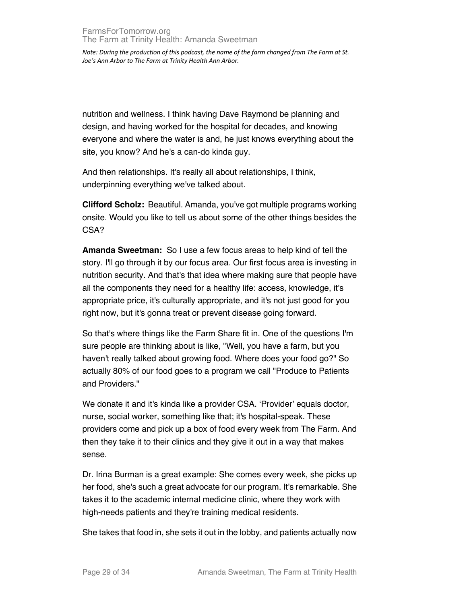nutrition and wellness. I think having Dave Raymond be planning and design, and having worked for the hospital for decades, and knowing everyone and where the water is and, he just knows everything about the site, you know? And he's a can-do kinda guy.

And then relationships. It's really all about relationships, I think, underpinning everything we've talked about.

**Clifford Scholz:** Beautiful. Amanda, you've got multiple programs working onsite. Would you like to tell us about some of the other things besides the CSA?

**Amanda Sweetman:** So I use a few focus areas to help kind of tell the story. I'll go through it by our focus area. Our first focus area is investing in nutrition security. And that's that idea where making sure that people have all the components they need for a healthy life: access, knowledge, it's appropriate price, it's culturally appropriate, and it's not just good for you right now, but it's gonna treat or prevent disease going forward.

So that's where things like the Farm Share fit in. One of the questions I'm sure people are thinking about is like, "Well, you have a farm, but you haven't really talked about growing food. Where does your food go?" So actually 80% of our food goes to a program we call "Produce to Patients and Providers."

We donate it and it's kinda like a provider CSA. 'Provider' equals doctor, nurse, social worker, something like that; it's hospital-speak. These providers come and pick up a box of food every week from The Farm. And then they take it to their clinics and they give it out in a way that makes sense.

Dr. Irina Burman is a great example: She comes every week, she picks up her food, she's such a great advocate for our program. It's remarkable. She takes it to the academic internal medicine clinic, where they work with high-needs patients and they're training medical residents.

She takes that food in, she sets it out in the lobby, and patients actually now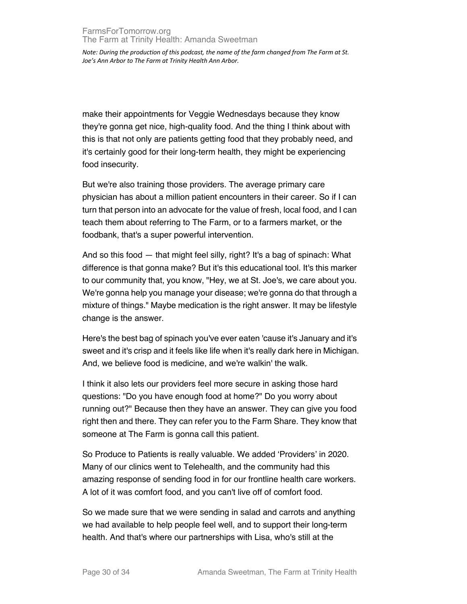make their appointments for Veggie Wednesdays because they know they're gonna get nice, high-quality food. And the thing I think about with this is that not only are patients getting food that they probably need, and it's certainly good for their long-term health, they might be experiencing food insecurity.

But we're also training those providers. The average primary care physician has about a million patient encounters in their career. So if I can turn that person into an advocate for the value of fresh, local food, and I can teach them about referring to The Farm, or to a farmers market, or the foodbank, that's a super powerful intervention.

And so this food — that might feel silly, right? It's a bag of spinach: What difference is that gonna make? But it's this educational tool. It's this marker to our community that, you know, "Hey, we at St. Joe's, we care about you. We're gonna help you manage your disease; we're gonna do that through a mixture of things." Maybe medication is the right answer. It may be lifestyle change is the answer.

Here's the best bag of spinach you've ever eaten 'cause it's January and it's sweet and it's crisp and it feels like life when it's really dark here in Michigan. And, we believe food is medicine, and we're walkin' the walk.

I think it also lets our providers feel more secure in asking those hard questions: "Do you have enough food at home?" Do you worry about running out?" Because then they have an answer. They can give you food right then and there. They can refer you to the Farm Share. They know that someone at The Farm is gonna call this patient.

So Produce to Patients is really valuable. We added 'Providers' in 2020. Many of our clinics went to Telehealth, and the community had this amazing response of sending food in for our frontline health care workers. A lot of it was comfort food, and you can't live off of comfort food.

So we made sure that we were sending in salad and carrots and anything we had available to help people feel well, and to support their long-term health. And that's where our partnerships with Lisa, who's still at the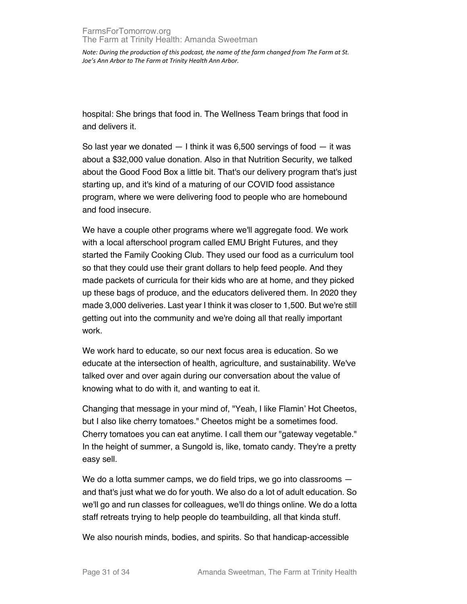hospital: She brings that food in. The Wellness Team brings that food in and delivers it.

So last year we donated  $-1$  think it was 6,500 servings of food  $-$  it was about a \$32,000 value donation. Also in that Nutrition Security, we talked about the Good Food Box a little bit. That's our delivery program that's just starting up, and it's kind of a maturing of our COVID food assistance program, where we were delivering food to people who are homebound and food insecure.

We have a couple other programs where we'll aggregate food. We work with a local afterschool program called EMU Bright Futures, and they started the Family Cooking Club. They used our food as a curriculum tool so that they could use their grant dollars to help feed people. And they made packets of curricula for their kids who are at home, and they picked up these bags of produce, and the educators delivered them. In 2020 they made 3,000 deliveries. Last year I think it was closer to 1,500. But we're still getting out into the community and we're doing all that really important work.

We work hard to educate, so our next focus area is education. So we educate at the intersection of health, agriculture, and sustainability. We've talked over and over again during our conversation about the value of knowing what to do with it, and wanting to eat it.

Changing that message in your mind of, "Yeah, I like Flamin' Hot Cheetos, but I also like cherry tomatoes." Cheetos might be a sometimes food. Cherry tomatoes you can eat anytime. I call them our "gateway vegetable." In the height of summer, a Sungold is, like, tomato candy. They're a pretty easy sell.

We do a lotta summer camps, we do field trips, we go into classrooms  $$ and that's just what we do for youth. We also do a lot of adult education. So we'll go and run classes for colleagues, we'll do things online. We do a lotta staff retreats trying to help people do teambuilding, all that kinda stuff.

We also nourish minds, bodies, and spirits. So that handicap-accessible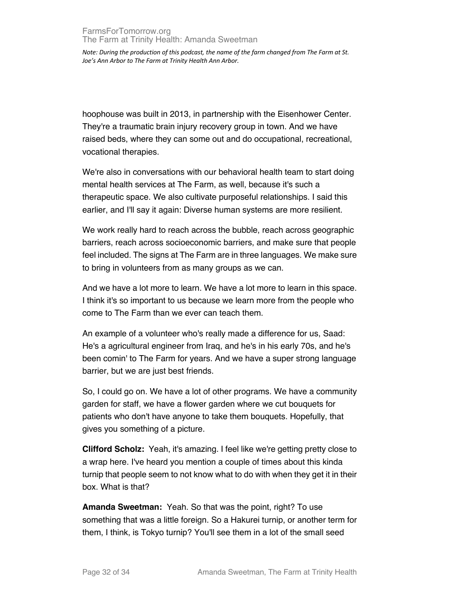hoophouse was built in 2013, in partnership with the Eisenhower Center. They're a traumatic brain injury recovery group in town. And we have raised beds, where they can some out and do occupational, recreational, vocational therapies.

We're also in conversations with our behavioral health team to start doing mental health services at The Farm, as well, because it's such a therapeutic space. We also cultivate purposeful relationships. I said this earlier, and I'll say it again: Diverse human systems are more resilient.

We work really hard to reach across the bubble, reach across geographic barriers, reach across socioeconomic barriers, and make sure that people feel included. The signs at The Farm are in three languages. We make sure to bring in volunteers from as many groups as we can.

And we have a lot more to learn. We have a lot more to learn in this space. I think it's so important to us because we learn more from the people who come to The Farm than we ever can teach them.

An example of a volunteer who's really made a difference for us, Saad: He's a agricultural engineer from Iraq, and he's in his early 70s, and he's been comin' to The Farm for years. And we have a super strong language barrier, but we are just best friends.

So, I could go on. We have a lot of other programs. We have a community garden for staff, we have a flower garden where we cut bouquets for patients who don't have anyone to take them bouquets. Hopefully, that gives you something of a picture.

**Clifford Scholz:** Yeah, it's amazing. I feel like we're getting pretty close to a wrap here. I've heard you mention a couple of times about this kinda turnip that people seem to not know what to do with when they get it in their box. What is that?

**Amanda Sweetman:** Yeah. So that was the point, right? To use something that was a little foreign. So a Hakurei turnip, or another term for them, I think, is Tokyo turnip? You'll see them in a lot of the small seed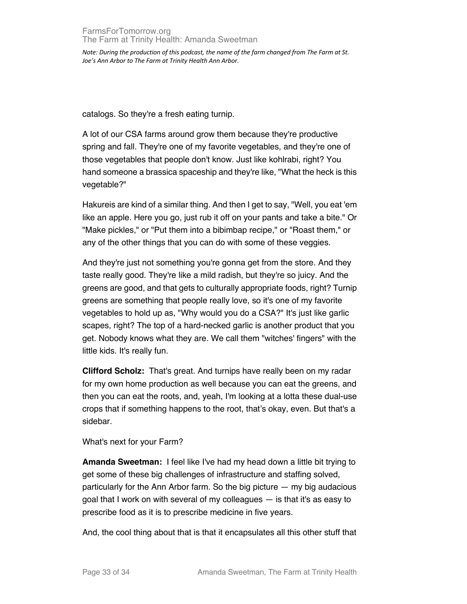catalogs. So they're a fresh eating turnip.

A lot of our CSA farms around grow them because they're productive spring and fall. They're one of my favorite vegetables, and they're one of those vegetables that people don't know. Just like kohlrabi, right? You hand someone a brassica spaceship and they're like, "What the heck is this vegetable?"

Hakureis are kind of a similar thing. And then I get to say, "Well, you eat 'em like an apple. Here you go, just rub it off on your pants and take a bite." Or "Make pickles," or "Put them into a bibimbap recipe," or "Roast them," or any of the other things that you can do with some of these veggies.

And they're just not something you're gonna get from the store. And they taste really good. They're like a mild radish, but they're so juicy. And the greens are good, and that gets to culturally appropriate foods, right? Turnip greens are something that people really love, so it's one of my favorite vegetables to hold up as, "Why would you do a CSA?" It's just like garlic scapes, right? The top of a hard-necked garlic is another product that you get. Nobody knows what they are. We call them "witches' fingers" with the little kids. It's really fun.

**Clifford Scholz:** That's great. And turnips have really been on my radar for my own home production as well because you can eat the greens, and then you can eat the roots, and, yeah, I'm looking at a lotta these dual-use crops that if something happens to the root, that's okay, even. But that's a sidebar.

What's next for your Farm?

**Amanda Sweetman:** I feel like I've had my head down a little bit trying to get some of these big challenges of infrastructure and staffing solved, particularly for the Ann Arbor farm. So the big picture — my big audacious goal that I work on with several of my colleagues — is that it's as easy to prescribe food as it is to prescribe medicine in five years.

And, the cool thing about that is that it encapsulates all this other stuff that